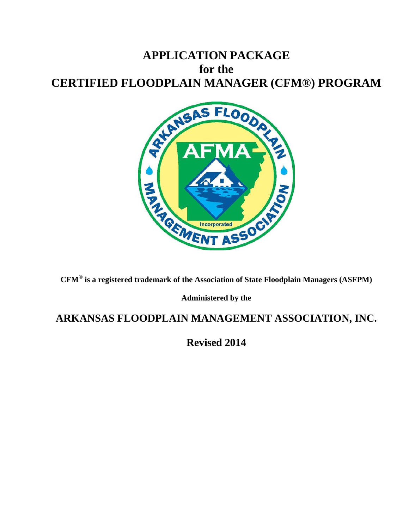# **APPLICATION PACKAGE for the**



**CFM® is a registered trademark of the Association of State Floodplain Managers (ASFPM)** 

**Administered by the** 

# **ARKANSAS FLOODPLAIN MANAGEMENT ASSOCIATION, INC.**

**Revised 2014**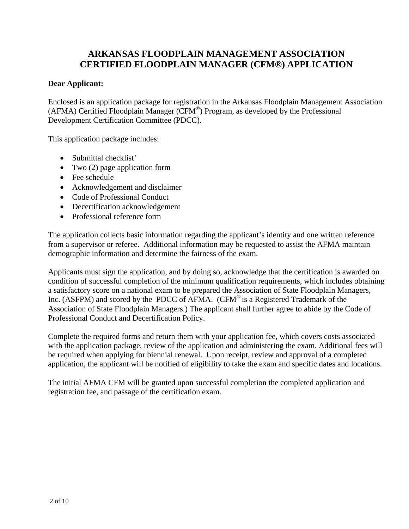### **ARKANSAS FLOODPLAIN MANAGEMENT ASSOCIATION CERTIFIED FLOODPLAIN MANAGER (CFM®) APPLICATION**

### **Dear Applicant:**

Enclosed is an application package for registration in the Arkansas Floodplain Management Association (AFMA) Certified Floodplain Manager (CFM®) Program, as developed by the Professional Development Certification Committee (PDCC).

This application package includes:

- Submittal checklist'
- Two (2) page application form
- Fee schedule
- Acknowledgement and disclaimer
- Code of Professional Conduct
- Decertification acknowledgement
- Professional reference form

The application collects basic information regarding the applicant's identity and one written reference from a supervisor or referee. Additional information may be requested to assist the AFMA maintain demographic information and determine the fairness of the exam.

Applicants must sign the application, and by doing so, acknowledge that the certification is awarded on condition of successful completion of the minimum qualification requirements, which includes obtaining a satisfactory score on a national exam to be prepared the Association of State Floodplain Managers, Inc. (ASFPM) and scored by the PDCC of AFMA. (CFM<sup>®</sup> is a Registered Trademark of the Association of State Floodplain Managers.) The applicant shall further agree to abide by the Code of Professional Conduct and Decertification Policy.

Complete the required forms and return them with your application fee, which covers costs associated with the application package, review of the application and administering the exam. Additional fees will be required when applying for biennial renewal. Upon receipt, review and approval of a completed application, the applicant will be notified of eligibility to take the exam and specific dates and locations.

The initial AFMA CFM will be granted upon successful completion the completed application and registration fee, and passage of the certification exam.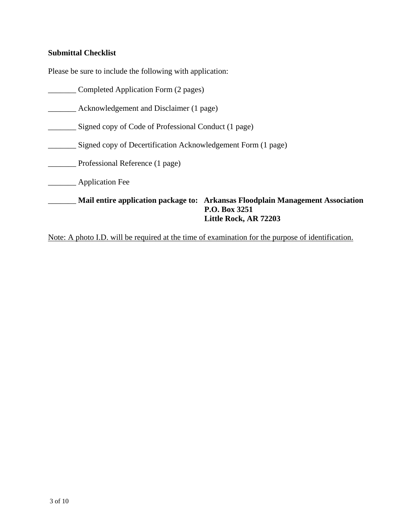### **Submittal Checklist**

Please be sure to include the following with application:

- \_\_\_\_\_\_\_ Completed Application Form (2 pages)
- \_\_\_\_\_\_\_ Acknowledgement and Disclaimer (1 page)
- \_\_\_\_\_\_\_ Signed copy of Code of Professional Conduct (1 page)
- \_\_\_\_\_\_\_ Signed copy of Decertification Acknowledgement Form (1 page)
- \_\_\_\_\_\_\_ Professional Reference (1 page)
- \_\_\_\_\_\_\_ Application Fee

\_\_\_\_\_\_\_ **Mail entire application package to: Arkansas Floodplain Management Association P.O. Box 3251 Little Rock, AR 72203** 

Note: A photo I.D. will be required at the time of examination for the purpose of identification.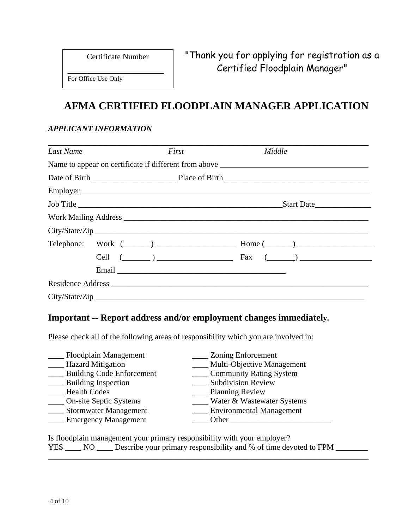Certificate Number

\_\_\_\_\_\_\_\_\_\_\_\_\_\_\_\_\_\_\_\_\_\_\_\_

For Office Use Only

# **AFMA CERTIFIED FLOODPLAIN MANAGER APPLICATION**

### *APPLICANT INFORMATION*

| Last Name |                                                           | First | Middle |            |
|-----------|-----------------------------------------------------------|-------|--------|------------|
|           |                                                           |       |        |            |
|           |                                                           |       |        |            |
|           |                                                           |       |        |            |
|           | Job Title                                                 |       |        | Start Date |
|           |                                                           |       |        |            |
|           |                                                           |       |        |            |
|           |                                                           |       |        |            |
|           | Cell $(\_\_\_\_\_)$ $\_\_\_\_\_\_\_\_$ Fax $(\_\_\_\_\)_$ |       |        |            |
|           |                                                           |       |        |            |
|           |                                                           |       |        |            |
|           |                                                           |       |        |            |

## **Important -- Report address and/or employment changes immediately.**

Please check all of the following areas of responsibility which you are involved in:

| Floodplain Management            | Zoning Enforcement              |  |
|----------------------------------|---------------------------------|--|
| <b>Hazard Mitigation</b>         | Multi-Objective Management      |  |
| <b>Building Code Enforcement</b> | <b>Community Rating System</b>  |  |
| <b>Building Inspection</b>       | <b>Subdivision Review</b>       |  |
| <b>Health Codes</b>              | Planning Review                 |  |
| <b>On-site Septic Systems</b>    | Water & Wastewater Systems      |  |
| <b>Stormwater Management</b>     | <b>Environmental Management</b> |  |
| <b>Emergency Management</b>      | Other                           |  |

|                     | Is floodplain management your primary responsibility with your employer? |  |
|---------------------|--------------------------------------------------------------------------|--|
| <b>YES</b><br>$N$ O | _ Describe your primary responsibility and % of time devoted to FPM      |  |
|                     |                                                                          |  |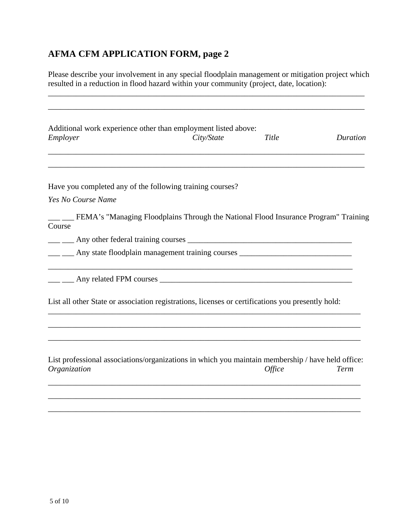# **AFMA CFM APPLICATION FORM, page 2**

Please describe your involvement in any special floodplain management or mitigation project which resulted in a reduction in flood hazard within your community (project, date, location):

\_\_\_\_\_\_\_\_\_\_\_\_\_\_\_\_\_\_\_\_\_\_\_\_\_\_\_\_\_\_\_\_\_\_\_\_\_\_\_\_\_\_\_\_\_\_\_\_\_\_\_\_\_\_\_\_\_\_\_\_\_\_\_\_\_\_\_\_\_\_\_\_\_\_\_\_\_\_\_

| Employer           | Additional work experience other than employment listed above:<br>City/State                      | Title                | Duration |
|--------------------|---------------------------------------------------------------------------------------------------|----------------------|----------|
|                    |                                                                                                   |                      |          |
|                    | Have you completed any of the following training courses?                                         |                      |          |
| Yes No Course Name |                                                                                                   |                      |          |
| Course             | _ __ FEMA's "Managing Floodplains Through the National Flood Insurance Program" Training          |                      |          |
|                    |                                                                                                   |                      |          |
|                    | ___ __ Any state floodplain management training courses _________________________                 |                      |          |
|                    | Any related FPM courses                                                                           |                      |          |
|                    | List all other State or association registrations, licenses or certifications you presently hold: |                      |          |
|                    |                                                                                                   |                      |          |
|                    | List professional associations/organizations in which you maintain membership / have held office: |                      |          |
| Organization       |                                                                                                   | <i><b>Office</b></i> | Term     |

\_\_\_\_\_\_\_\_\_\_\_\_\_\_\_\_\_\_\_\_\_\_\_\_\_\_\_\_\_\_\_\_\_\_\_\_\_\_\_\_\_\_\_\_\_\_\_\_\_\_\_\_\_\_\_\_\_\_\_\_\_\_\_\_\_\_\_\_\_\_\_\_\_\_\_\_\_\_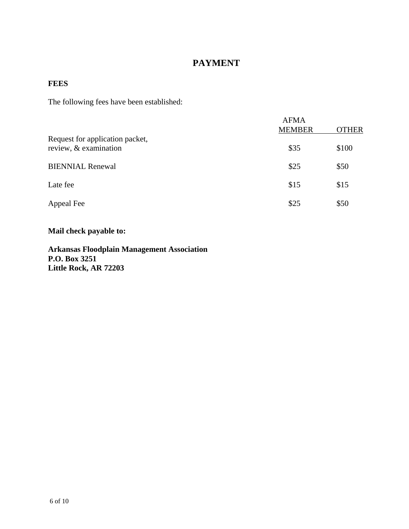## **PAYMENT**

### **FEES**

The following fees have been established:

|                                                          | <b>AFMA</b><br><b>MEMBER</b> | <b>OTHER</b> |
|----------------------------------------------------------|------------------------------|--------------|
| Request for application packet,<br>review, & examination | \$35                         | \$100        |
| <b>BIENNIAL Renewal</b>                                  | \$25                         | \$50         |
| Late fee                                                 | \$15                         | \$15         |
| Appeal Fee                                               | \$25                         | \$50         |

**Mail check payable to:** 

**Arkansas Floodplain Management Association P.O. Box 3251 Little Rock, AR 72203**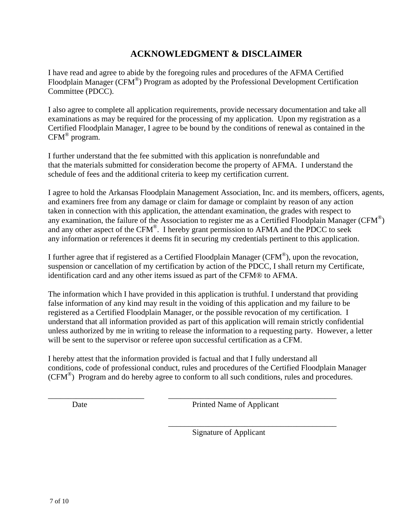### **ACKNOWLEDGMENT & DISCLAIMER**

I have read and agree to abide by the foregoing rules and procedures of the AFMA Certified Floodplain Manager (CFM<sup>®</sup>) Program as adopted by the Professional Development Certification Committee (PDCC).

I also agree to complete all application requirements, provide necessary documentation and take all examinations as may be required for the processing of my application. Upon my registration as a Certified Floodplain Manager, I agree to be bound by the conditions of renewal as contained in the CFM® program.

I further understand that the fee submitted with this application is nonrefundable and that the materials submitted for consideration become the property of AFMA. I understand the schedule of fees and the additional criteria to keep my certification current.

I agree to hold the Arkansas Floodplain Management Association, Inc. and its members, officers, agents, and examiners free from any damage or claim for damage or complaint by reason of any action taken in connection with this application, the attendant examination, the grades with respect to any examination, the failure of the Association to register me as a Certified Floodplain Manager ( $CFM^{\circledcirc}$ ) and any other aspect of the CFM<sup>®</sup>. I hereby grant permission to AFMA and the PDCC to seek any information or references it deems fit in securing my credentials pertinent to this application.

I further agree that if registered as a Certified Floodplain Manager (CFM®), upon the revocation, suspension or cancellation of my certification by action of the PDCC, I shall return my Certificate, identification card and any other items issued as part of the CFM® to AFMA.

The information which I have provided in this application is truthful. I understand that providing false information of any kind may result in the voiding of this application and my failure to be registered as a Certified Floodplain Manager, or the possible revocation of my certification. I understand that all information provided as part of this application will remain strictly confidential unless authorized by me in writing to release the information to a requesting party. However, a letter will be sent to the supervisor or referee upon successful certification as a CFM.

I hereby attest that the information provided is factual and that I fully understand all conditions, code of professional conduct, rules and procedures of the Certified Floodplain Manager  $(CFM^{\circledast})$  Program and do hereby agree to conform to all such conditions, rules and procedures.

\_\_\_\_\_\_\_\_\_\_\_\_\_\_\_\_\_\_\_\_\_\_\_\_ \_\_\_\_\_\_\_\_\_\_\_\_\_\_\_\_\_\_\_\_\_\_\_\_\_\_\_\_\_\_\_\_\_\_\_\_\_\_\_\_\_\_

Date Printed Name of Applicant

\_\_\_\_\_\_\_\_\_\_\_\_\_\_\_\_\_\_\_\_\_\_\_\_\_\_\_\_\_\_\_\_\_\_\_\_\_\_\_\_\_\_

Signature of Applicant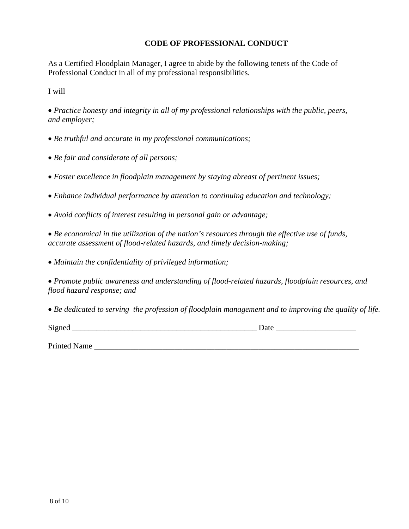### **CODE OF PROFESSIONAL CONDUCT**

As a Certified Floodplain Manager, I agree to abide by the following tenets of the Code of Professional Conduct in all of my professional responsibilities.

I will

*Practice honesty and integrity in all of my professional relationships with the public, peers, and employer;* 

*Be truthful and accurate in my professional communications;* 

*Be fair and considerate of all persons;* 

*Foster excellence in floodplain management by staying abreast of pertinent issues;* 

*Enhance individual performance by attention to continuing education and technology;* 

*Avoid conflicts of interest resulting in personal gain or advantage;* 

*Be economical in the utilization of the nation's resources through the effective use of funds, accurate assessment of flood-related hazards, and timely decision-making;* 

*Maintain the confidentiality of privileged information;* 

*Promote public awareness and understanding of flood-related hazards, floodplain resources, and flood hazard response; and* 

*Be dedicated to serving the profession of floodplain management and to improving the quality of life.* 

Signed Date Date  $\Box$ 

Printed Name  $\blacksquare$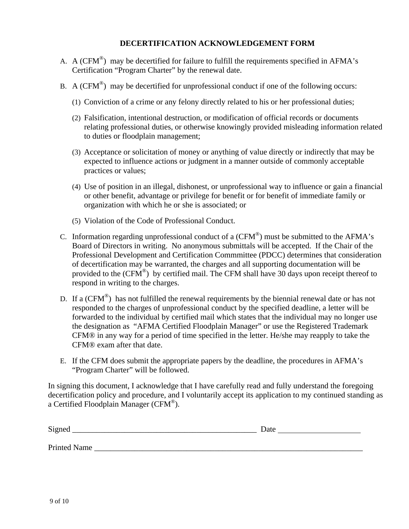#### **DECERTIFICATION ACKNOWLEDGEMENT FORM**

- A. A (CFM<sup>®</sup>) may be decertified for failure to fulfill the requirements specified in AFMA's Certification "Program Charter" by the renewal date.
- B. A (CFM<sup>®</sup>) may be decertified for unprofessional conduct if one of the following occurs:
	- (1) Conviction of a crime or any felony directly related to his or her professional duties;
	- (2) Falsification, intentional destruction, or modification of official records or documents relating professional duties, or otherwise knowingly provided misleading information related to duties or floodplain management;
	- (3) Acceptance or solicitation of money or anything of value directly or indirectly that may be expected to influence actions or judgment in a manner outside of commonly acceptable practices or values;
	- (4) Use of position in an illegal, dishonest, or unprofessional way to influence or gain a financial or other benefit, advantage or privilege for benefit or for benefit of immediate family or organization with which he or she is associated; or
	- (5) Violation of the Code of Professional Conduct.
- C. Information regarding unprofessional conduct of a  $(CFM^{\circledast})$  must be submitted to the AFMA's Board of Directors in writing. No anonymous submittals will be accepted. If the Chair of the Professional Development and Certification Commmittee (PDCC) determines that consideration of decertification may be warranted, the charges and all supporting documentation will be provided to the  $(CFM^{\circledast})$  by certified mail. The CFM shall have 30 days upon receipt thereof to respond in writing to the charges.
- D. If a (CFM<sup>®</sup>) has not fulfilled the renewal requirements by the biennial renewal date or has not responded to the charges of unprofessional conduct by the specified deadline, a letter will be forwarded to the individual by certified mail which states that the individual may no longer use the designation as "AFMA Certified Floodplain Manager" or use the Registered Trademark CFM® in any way for a period of time specified in the letter. He/she may reapply to take the CFM® exam after that date.
- E. If the CFM does submit the appropriate papers by the deadline, the procedures in AFMA's "Program Charter" will be followed.

In signing this document, I acknowledge that I have carefully read and fully understand the foregoing decertification policy and procedure, and I voluntarily accept its application to my continued standing as a Certified Floodplain Manager (CFM®).

| Signed       | Date |  |
|--------------|------|--|
|              |      |  |
| Printed Name |      |  |